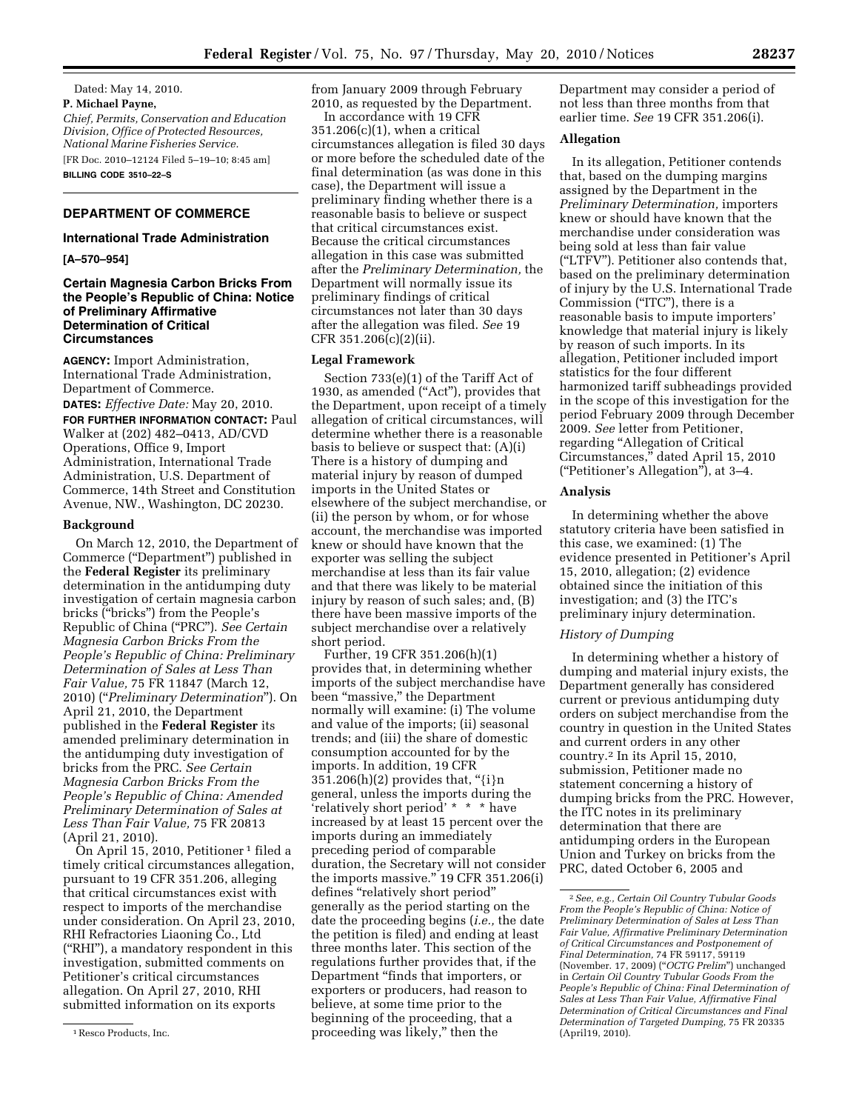Dated: May 14, 2010. **P. Michael Payne,**  *Chief, Permits, Conservation and Education Division, Office of Protected Resources, National Marine Fisheries Service.*  [FR Doc. 2010–12124 Filed 5–19–10; 8:45 am] **BILLING CODE 3510–22–S** 

## **DEPARTMENT OF COMMERCE**

### **International Trade Administration**

**[A–570–954]** 

# **Certain Magnesia Carbon Bricks From the People's Republic of China: Notice of Preliminary Affirmative Determination of Critical Circumstances**

**AGENCY:** Import Administration, International Trade Administration, Department of Commerce.

**DATES:** *Effective Date:* May 20, 2010.

**FOR FURTHER INFORMATION CONTACT: Paul** Walker at (202) 482–0413, AD/CVD Operations, Office 9, Import Administration, International Trade Administration, U.S. Department of Commerce, 14th Street and Constitution Avenue, NW., Washington, DC 20230.

### **Background**

On March 12, 2010, the Department of Commerce (''Department'') published in the **Federal Register** its preliminary determination in the antidumping duty investigation of certain magnesia carbon bricks (''bricks'') from the People's Republic of China (''PRC''). *See Certain Magnesia Carbon Bricks From the People's Republic of China: Preliminary Determination of Sales at Less Than Fair Value,* 75 FR 11847 (March 12, 2010) (''*Preliminary Determination*''). On April 21, 2010, the Department published in the **Federal Register** its amended preliminary determination in the antidumping duty investigation of bricks from the PRC. *See Certain Magnesia Carbon Bricks From the People's Republic of China: Amended Preliminary Determination of Sales at Less Than Fair Value,* 75 FR 20813 (April 21, 2010).

On April 15, 2010, Petitioner 1 filed a timely critical circumstances allegation, pursuant to 19 CFR 351.206, alleging that critical circumstances exist with respect to imports of the merchandise under consideration. On April 23, 2010, RHI Refractories Liaoning Co., Ltd (''RHI''), a mandatory respondent in this investigation, submitted comments on Petitioner's critical circumstances allegation. On April 27, 2010, RHI submitted information on its exports

from January 2009 through February 2010, as requested by the Department.

In accordance with 19 CFR 351.206(c)(1), when a critical circumstances allegation is filed 30 days or more before the scheduled date of the final determination (as was done in this case), the Department will issue a preliminary finding whether there is a reasonable basis to believe or suspect that critical circumstances exist. Because the critical circumstances allegation in this case was submitted after the *Preliminary Determination,* the Department will normally issue its preliminary findings of critical circumstances not later than 30 days after the allegation was filed. *See* 19 CFR 351.206(c)(2)(ii).

### **Legal Framework**

Section 733(e)(1) of the Tariff Act of 1930, as amended ("Act"), provides that the Department, upon receipt of a timely allegation of critical circumstances, will determine whether there is a reasonable basis to believe or suspect that: (A)(i) There is a history of dumping and material injury by reason of dumped imports in the United States or elsewhere of the subject merchandise, or (ii) the person by whom, or for whose account, the merchandise was imported knew or should have known that the exporter was selling the subject merchandise at less than its fair value and that there was likely to be material injury by reason of such sales; and, (B) there have been massive imports of the subject merchandise over a relatively short period.

Further, 19 CFR 351.206(h)(1) provides that, in determining whether imports of the subject merchandise have been "massive," the Department normally will examine: (i) The volume and value of the imports; (ii) seasonal trends; and (iii) the share of domestic consumption accounted for by the imports. In addition, 19 CFR  $351.206(h)(2)$  provides that, "{i}n general, unless the imports during the 'relatively short period' \* \* \* have increased by at least 15 percent over the imports during an immediately preceding period of comparable duration, the Secretary will not consider the imports massive.'' 19 CFR 351.206(i) defines ''relatively short period'' generally as the period starting on the date the proceeding begins (*i.e.,* the date the petition is filed) and ending at least three months later. This section of the regulations further provides that, if the Department ''finds that importers, or exporters or producers, had reason to believe, at some time prior to the beginning of the proceeding, that a proceeding was likely,'' then the

Department may consider a period of not less than three months from that earlier time. *See* 19 CFR 351.206(i).

### **Allegation**

In its allegation, Petitioner contends that, based on the dumping margins assigned by the Department in the *Preliminary Determination,* importers knew or should have known that the merchandise under consideration was being sold at less than fair value (''LTFV''). Petitioner also contends that, based on the preliminary determination of injury by the U.S. International Trade Commission ("ITC"), there is a reasonable basis to impute importers' knowledge that material injury is likely by reason of such imports. In its allegation, Petitioner included import statistics for the four different harmonized tariff subheadings provided in the scope of this investigation for the period February 2009 through December 2009. *See* letter from Petitioner, regarding "Allegation of Critical Circumstances,'' dated April 15, 2010 (''Petitioner's Allegation''), at 3–4.

### **Analysis**

In determining whether the above statutory criteria have been satisfied in this case, we examined: (1) The evidence presented in Petitioner's April 15, 2010, allegation; (2) evidence obtained since the initiation of this investigation; and (3) the ITC's preliminary injury determination.

# *History of Dumping*

In determining whether a history of dumping and material injury exists, the Department generally has considered current or previous antidumping duty orders on subject merchandise from the country in question in the United States and current orders in any other country.2 In its April 15, 2010, submission, Petitioner made no statement concerning a history of dumping bricks from the PRC. However, the ITC notes in its preliminary determination that there are antidumping orders in the European Union and Turkey on bricks from the PRC, dated October 6, 2005 and

<sup>1</sup>Resco Products, Inc.

<sup>2</sup>*See, e.g., Certain Oil Country Tubular Goods From the People's Republic of China: Notice of Preliminary Determination of Sales at Less Than Fair Value, Affirmative Preliminary Determination of Critical Circumstances and Postponement of Final Determination,* 74 FR 59117, 59119 (November. 17, 2009) (''*OCTG Prelim*'') unchanged in *Certain Oil Country Tubular Goods From the People's Republic of China: Final Determination of Sales at Less Than Fair Value, Affirmative Final Determination of Critical Circumstances and Final Determination of Targeted Dumping,* 75 FR 20335 (April19, 2010).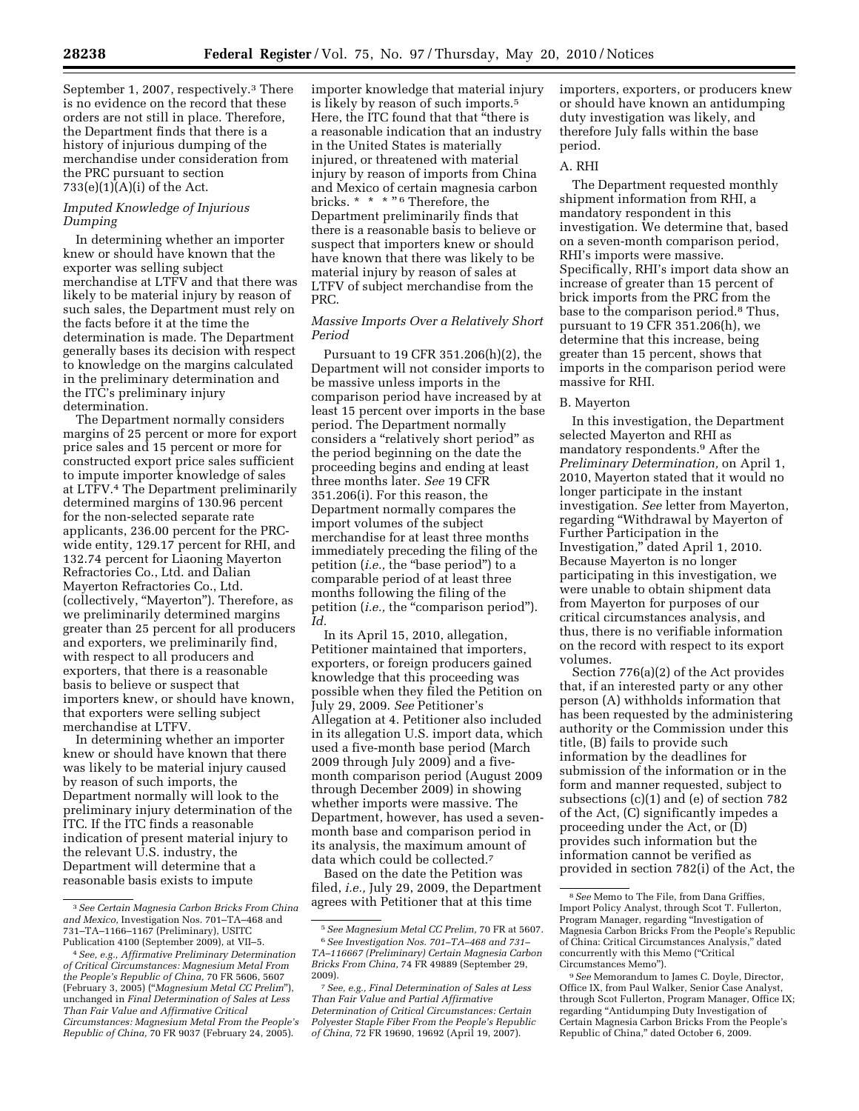September 1, 2007, respectively.<sup>3</sup> There is no evidence on the record that these orders are not still in place. Therefore, the Department finds that there is a history of injurious dumping of the merchandise under consideration from the PRC pursuant to section 733(e)(1)(A)(i) of the Act.

# *Imputed Knowledge of Injurious Dumping*

In determining whether an importer knew or should have known that the exporter was selling subject merchandise at LTFV and that there was likely to be material injury by reason of such sales, the Department must rely on the facts before it at the time the determination is made. The Department generally bases its decision with respect to knowledge on the margins calculated in the preliminary determination and the ITC's preliminary injury determination.

The Department normally considers margins of 25 percent or more for export price sales and 15 percent or more for constructed export price sales sufficient to impute importer knowledge of sales at LTFV.4 The Department preliminarily determined margins of 130.96 percent for the non-selected separate rate applicants, 236.00 percent for the PRCwide entity, 129.17 percent for RHI, and 132.74 percent for Liaoning Mayerton Refractories Co., Ltd. and Dalian Mayerton Refractories Co., Ltd. (collectively, ''Mayerton''). Therefore, as we preliminarily determined margins greater than 25 percent for all producers and exporters, we preliminarily find, with respect to all producers and exporters, that there is a reasonable basis to believe or suspect that importers knew, or should have known, that exporters were selling subject merchandise at LTFV.

In determining whether an importer knew or should have known that there was likely to be material injury caused by reason of such imports, the Department normally will look to the preliminary injury determination of the ITC. If the ITC finds a reasonable indication of present material injury to the relevant U.S. industry, the Department will determine that a reasonable basis exists to impute

importer knowledge that material injury is likely by reason of such imports.5 Here, the ITC found that that ''there is a reasonable indication that an industry in the United States is materially injured, or threatened with material injury by reason of imports from China and Mexico of certain magnesia carbon bricks. \* \* \* "6 Therefore, the Department preliminarily finds that there is a reasonable basis to believe or suspect that importers knew or should have known that there was likely to be material injury by reason of sales at LTFV of subject merchandise from the PRC.

# *Massive Imports Over a Relatively Short Period*

Pursuant to 19 CFR 351.206(h)(2), the Department will not consider imports to be massive unless imports in the comparison period have increased by at least 15 percent over imports in the base period. The Department normally considers a "relatively short period" as the period beginning on the date the proceeding begins and ending at least three months later. *See* 19 CFR 351.206(i). For this reason, the Department normally compares the import volumes of the subject merchandise for at least three months immediately preceding the filing of the petition (*i.e.,* the ''base period'') to a comparable period of at least three months following the filing of the petition (*i.e.*, the "comparison period"). *Id.* 

In its April 15, 2010, allegation, Petitioner maintained that importers, exporters, or foreign producers gained knowledge that this proceeding was possible when they filed the Petition on July 29, 2009. *See* Petitioner's Allegation at 4. Petitioner also included in its allegation U.S. import data, which used a five-month base period (March 2009 through July 2009) and a fivemonth comparison period (August 2009 through December 2009) in showing whether imports were massive. The Department, however, has used a sevenmonth base and comparison period in its analysis, the maximum amount of data which could be collected.7

Based on the date the Petition was filed, *i.e.,* July 29, 2009, the Department agrees with Petitioner that at this time

2009).

importers, exporters, or producers knew or should have known an antidumping duty investigation was likely, and therefore July falls within the base period.

## A. RHI

The Department requested monthly shipment information from RHI, a mandatory respondent in this investigation. We determine that, based on a seven-month comparison period, RHI's imports were massive. Specifically, RHI's import data show an increase of greater than 15 percent of brick imports from the PRC from the base to the comparison period.8 Thus, pursuant to 19 CFR 351.206(h), we determine that this increase, being greater than 15 percent, shows that imports in the comparison period were massive for RHI.

### B. Mayerton

In this investigation, the Department selected Mayerton and RHI as mandatory respondents.9 After the *Preliminary Determination,* on April 1, 2010, Mayerton stated that it would no longer participate in the instant investigation. *See* letter from Mayerton, regarding ''Withdrawal by Mayerton of Further Participation in the Investigation,'' dated April 1, 2010. Because Mayerton is no longer participating in this investigation, we were unable to obtain shipment data from Mayerton for purposes of our critical circumstances analysis, and thus, there is no verifiable information on the record with respect to its export volumes.

Section 776(a)(2) of the Act provides that, if an interested party or any other person (A) withholds information that has been requested by the administering authority or the Commission under this title, (B) fails to provide such information by the deadlines for submission of the information or in the form and manner requested, subject to subsections (c)(1) and (e) of section 782 of the Act, (C) significantly impedes a proceeding under the Act, or (D) provides such information but the information cannot be verified as provided in section 782(i) of the Act, the

<sup>3</sup>*See Certain Magnesia Carbon Bricks From China and Mexico,* Investigation Nos. 701–TA–468 and 731–TA–1166–1167 (Preliminary), USITC Publication 4100 (September 2009), at VII–5.

<sup>4</sup>*See, e.g., Affirmative Preliminary Determination of Critical Circumstances: Magnesium Metal From the People's Republic of China,* 70 FR 5606, 5607 (February 3, 2005) (''*Magnesium Metal CC Prelim*''), unchanged in *Final Determination of Sales at Less Than Fair Value and Affirmative Critical Circumstances: Magnesium Metal From the People's Republic of China,* 70 FR 9037 (February 24, 2005).

<sup>5</sup>*See Magnesium Metal CC Prelim,* 70 FR at 5607. 6*See Investigation Nos. 701–TA–468 and 731– TA–116667 (Preliminary) Certain Magnesia Carbon Bricks From China,* 74 FR 49889 (September 29,

<sup>7</sup>*See, e.g., Final Determination of Sales at Less Than Fair Value and Partial Affirmative Determination of Critical Circumstances: Certain Polyester Staple Fiber From the People's Republic of China,* 72 FR 19690, 19692 (April 19, 2007).

<sup>8</sup>*See* Memo to The File, from Dana Griffies, Import Policy Analyst, through Scot T. Fullerton, Program Manager, regarding ''Investigation of Magnesia Carbon Bricks From the People's Republic of China: Critical Circumstances Analysis,'' dated concurrently with this Memo (''Critical Circumstances Memo'').

<sup>9</sup>*See* Memorandum to James C. Doyle, Director, Office IX, from Paul Walker, Senior Case Analyst, through Scot Fullerton, Program Manager, Office IX; regarding ''Antidumping Duty Investigation of Certain Magnesia Carbon Bricks From the People's Republic of China,'' dated October 6, 2009.